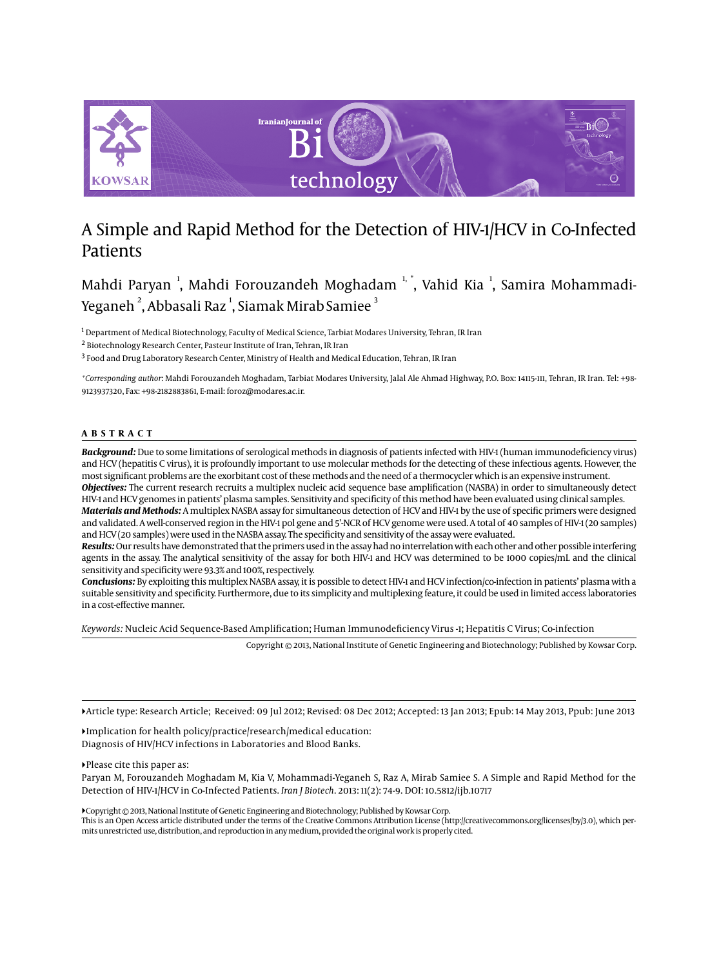

# A Simple and Rapid Method for the Detection of HIV-1/HCV in Co-Infected Patients

Mahdi Paryan <sup>1</sup>, Mahdi Forouzandeh Moghadam <sup>1, \*</sup>, Vahid Kia <sup>1</sup>, Samira Mohammadi-Yeganeh  $^{\mathsf{2}},$  Abbasali Raz  $^{\mathsf{1}},$  Siamak Mirab Samiee  $^{\mathsf{3}}$ 

 $^{\rm I}$  Department of Medical Biotechnology, Faculty of Medical Science, Tarbiat Modares University, Tehran, IR Iran

 $^{\rm 2}$  Biotechnology Research Center, Pasteur Institute of Iran, Tehran, IR Iran

 $^3$  Food and Drug Laboratory Research Center, Ministry of Health and Medical Education, Tehran, IR Iran

*\*Corresponding author*: Mahdi Forouzandeh Moghadam, Tarbiat Modares University, Jalal Ale Ahmad Highway, P.O. Box: 14115-111, Tehran, IR Iran. Tel: +98- 9123937320, Fax: +98-2182883861, E-mail: foroz@modares.ac.ir.

#### **ABSTRACT**

*Background:* Due to some limitations of serological methods in diagnosis of patients infected with HIV-1 (human immunodeficiency virus) and HCV (hepatitis C virus), it is profoundly important to use molecular methods for the detecting of these infectious agents. However, the most significant problems are the exorbitant cost of these methods and the need of a thermocycler which is an expensive instrument.

*Objectives:* The current research recruits a multiplex nucleic acid sequence base amplification (NASBA) in order to simultaneously detect HIV-1 and HCV genomes in patients' plasma samples. Sensitivity and specificity of this method have been evaluated using clinical samples.

*Materials and Methods:* A multiplex NASBA assay for simultaneous detection of HCV and HIV-1 by the use of specific primers were designed and validated. A well-conserved region in the HIV-1 pol gene and 5'-NCR of HCV genome were used. A total of 40 samples of HIV-1 (20 samples) and HCV (20 samples) were used in the NASBA assay. The specificity and sensitivity of the assay were evaluated.

*Results:* Our results have demonstrated that the primers used in the assay had no interrelation with each other and other possible interfering agents in the assay. The analytical sensitivity of the assay for both HIV-1 and HCV was determined to be 1000 copies/mL and the clinical sensitivity and specificity were 93.3% and 100%, respectively.

*Conclusions:* By exploiting this multiplex NASBA assay, it is possible to detect HIV-1 and HCV infection/co-infection in patients' plasma with a suitable sensitivity and specificity. Furthermore, due to its simplicity and multiplexing feature, it could be used in limited access laboratories in a cost-effective manner.

*Keywords:* Nucleic Acid Sequence-Based Amplification; Human Immunodeficiency Virus -1; Hepatitis C Virus; Co-infection

Copyright © 2013, National Institute of Genetic Engineering and Biotechnology; Published by Kowsar Corp.

Article type: Research Article; Received: 09 Jul 2012; Revised: 08 Dec 2012; Accepted: 13 Jan 2013; Epub: 14 May 2013, Ppub: June 2013

Implication for health policy/practice/research/medical education: Diagnosis of HIV/HCV infections in Laboratories and Blood Banks.

Please cite this paper as:

Paryan M, Forouzandeh Moghadam M, Kia V, Mohammadi-Yeganeh S, Raz A, Mirab Samiee S. A Simple and Rapid Method for the Detection of HIV-1/HCV in Co-Infected Patients. *Iran J Biotech*. 2013: 11(2): 74-9. DOI: 10.5812/ijb.10717

Copyright © 2013, National Institute of Genetic Engineering and Biotechnology; Published by Kowsar Corp.

This is an Open Access article distributed under the terms of the Creative Commons Attribution License (http://creativecommons.org/licenses/by/3.0), which permits unrestricted use, distribution, and reproduction in any medium, provided the original work is properly cited.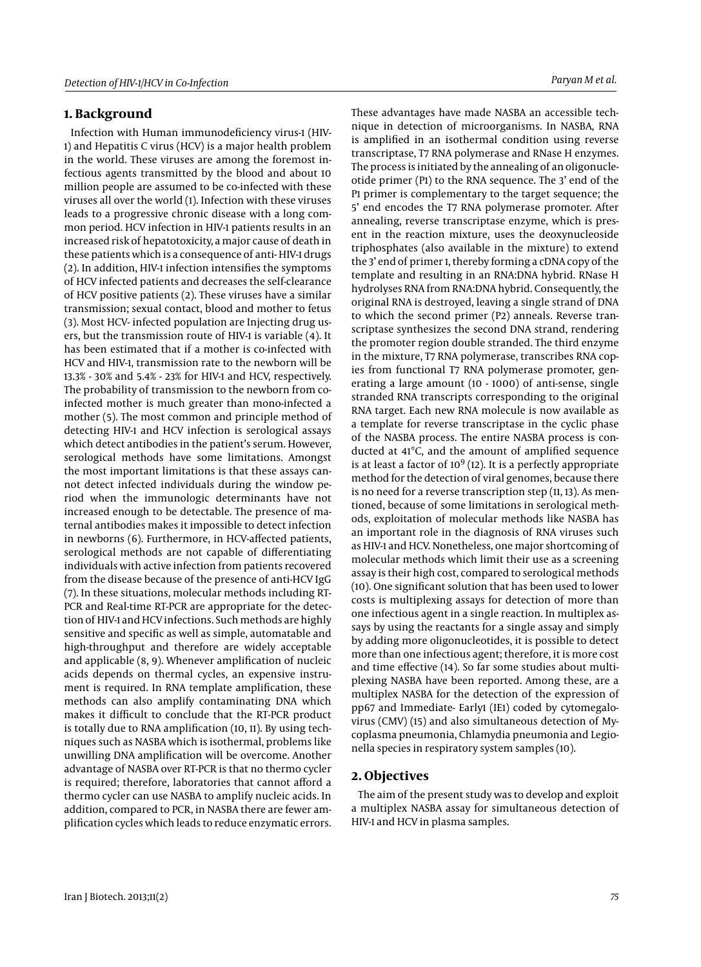#### **1. Background**

Infection with Human immunodeficiency virus-1 (HIV-1) and Hepatitis C virus (HCV) is a major health problem in the world. These viruses are among the foremost infectious agents transmitted by the blood and about 10 million people are assumed to be co-infected with these viruses all over the world (1). Infection with these viruses leads to a progressive chronic disease with a long common period. HCV infection in HIV-1 patients results in an increased risk of hepatotoxicity, a major cause of death in these patients which is a consequence of anti- HIV-1 drugs (2). In addition, HIV-1 infection intensifies the symptoms of HCV infected patients and decreases the self-clearance of HCV positive patients (2). These viruses have a similar transmission; sexual contact, blood and mother to fetus (3). Most HCV- infected population are Injecting drug users, but the transmission route of HIV-1 is variable (4). It has been estimated that if a mother is co-infected with HCV and HIV-1, transmission rate to the newborn will be 13.3% - 30% and 5.4% - 23% for HIV-1 and HCV, respectively. The probability of transmission to the newborn from coinfected mother is much greater than mono-infected a mother (5). The most common and principle method of detecting HIV-1 and HCV infection is serological assays which detect antibodies in the patient's serum. However, serological methods have some limitations. Amongst the most important limitations is that these assays cannot detect infected individuals during the window period when the immunologic determinants have not increased enough to be detectable. The presence of maternal antibodies makes it impossible to detect infection in newborns (6). Furthermore, in HCV-affected patients, serological methods are not capable of differentiating individuals with active infection from patients recovered from the disease because of the presence of anti-HCV IgG (7). In these situations, molecular methods including RT-PCR and Real-time RT-PCR are appropriate for the detection of HIV-1 and HCV infections. Such methods are highly sensitive and specific as well as simple, automatable and high-throughput and therefore are widely acceptable and applicable (8, 9). Whenever amplification of nucleic acids depends on thermal cycles, an expensive instrument is required. In RNA template amplification, these methods can also amplify contaminating DNA which makes it difficult to conclude that the RT-PCR product is totally due to RNA amplification (10, 11). By using techniques such as NASBA which is isothermal, problems like unwilling DNA amplification will be overcome. Another advantage of NASBA over RT-PCR is that no thermo cycler is required; therefore, laboratories that cannot afford a thermo cycler can use NASBA to amplify nucleic acids. In addition, compared to PCR, in NASBA there are fewer amplification cycles which leads to reduce enzymatic errors.

These advantages have made NASBA an accessible technique in detection of microorganisms. In NASBA, RNA is amplified in an isothermal condition using reverse transcriptase, T7 RNA polymerase and RNase H enzymes. The process is initiated by the annealing of an oligonucleotide primer (P1) to the RNA sequence. The 3' end of the P1 primer is complementary to the target sequence; the 5' end encodes the T7 RNA polymerase promoter. After annealing, reverse transcriptase enzyme, which is present in the reaction mixture, uses the deoxynucleoside triphosphates (also available in the mixture) to extend the 3' end of primer 1, thereby forming a cDNA copy of the template and resulting in an RNA:DNA hybrid. RNase H hydrolyses RNA from RNA:DNA hybrid. Consequently, the original RNA is destroyed, leaving a single strand of DNA to which the second primer (P2) anneals. Reverse transcriptase synthesizes the second DNA strand, rendering the promoter region double stranded. The third enzyme in the mixture, T7 RNA polymerase, transcribes RNA copies from functional T7 RNA polymerase promoter, generating a large amount (10 - 1000) of anti-sense, single stranded RNA transcripts corresponding to the original RNA target. Each new RNA molecule is now available as a template for reverse transcriptase in the cyclic phase of the NASBA process. The entire NASBA process is conducted at 41°C, and the amount of amplified sequence is at least a factor of  $10^9$  (12). It is a perfectly appropriate method for the detection of viral genomes, because there is no need for a reverse transcription step (11, 13). As mentioned, because of some limitations in serological methods, exploitation of molecular methods like NASBA has an important role in the diagnosis of RNA viruses such as HIV-1 and HCV. Nonetheless, one major shortcoming of molecular methods which limit their use as a screening assay is their high cost, compared to serological methods (10). One significant solution that has been used to lower costs is multiplexing assays for detection of more than one infectious agent in a single reaction. In multiplex assays by using the reactants for a single assay and simply by adding more oligonucleotides, it is possible to detect more than one infectious agent; therefore, it is more cost and time effective (14). So far some studies about multiplexing NASBA have been reported. Among these, are a multiplex NASBA for the detection of the expression of pp67 and Immediate- Early1 (IE1) coded by cytomegalovirus (CMV) (15) and also simultaneous detection of Mycoplasma pneumonia, Chlamydia pneumonia and Legionella species in respiratory system samples (10).

### **2. Objectives**

The aim of the present study was to develop and exploit a multiplex NASBA assay for simultaneous detection of HIV-1 and HCV in plasma samples.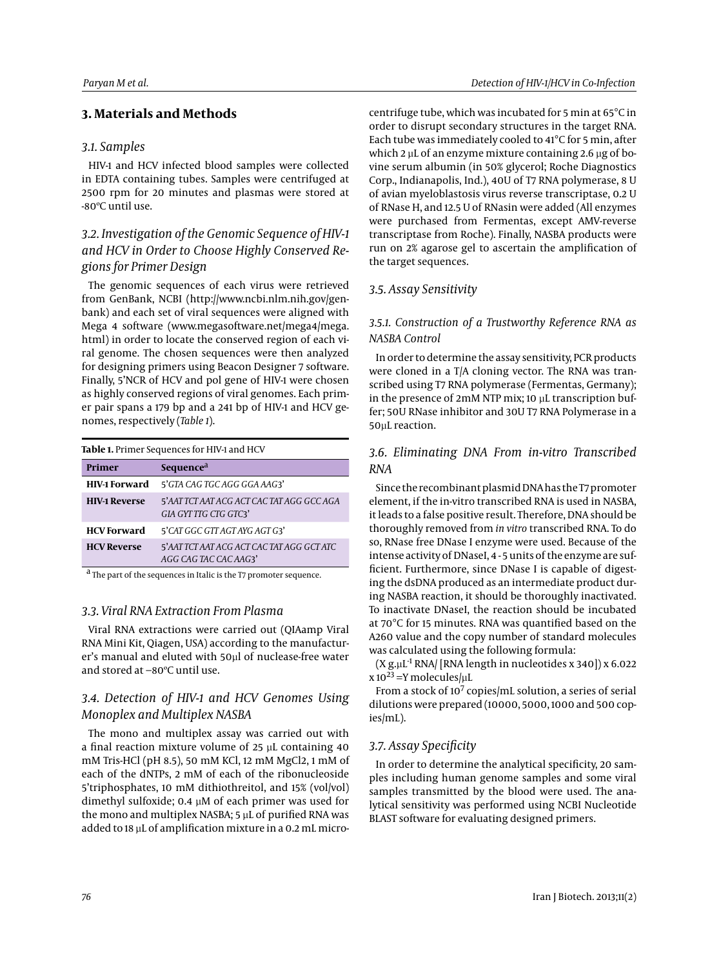## **3. Materials and Methods**

### *3.1. Samples*

HIV-1 and HCV infected blood samples were collected in EDTA containing tubes. Samples were centrifuged at 2500 rpm for 20 minutes and plasmas were stored at -80ºC until use.

# *3.2. Investigation of the Genomic Sequence of HIV-1 and HCV in Order to Choose Highly Conserved Regions for Primer Design*

The genomic sequences of each virus were retrieved from GenBank, NCBI (http://www.ncbi.nlm.nih.gov/genbank) and each set of viral sequences were aligned with Mega 4 software (www.megasoftware.net/mega4/mega. html) in order to locate the conserved region of each viral genome. The chosen sequences were then analyzed for designing primers using Beacon Designer 7 software. Finally, 5'NCR of HCV and pol gene of HIV-1 were chosen as highly conserved regions of viral genomes. Each primer pair spans a 179 bp and a 241 bp of HIV-1 and HCV genomes, respectively (*Table 1*).

#### **Table 1.** Primer Sequences for HIV-1 and HCV

| Primer               | Sequence <sup>a</sup>                                              |
|----------------------|--------------------------------------------------------------------|
| <b>HIV-1 Forward</b> | 5'GTA CAG TGC AGG GGA AAG3'                                        |
| <b>HIV-1 Reverse</b> | 5'AAT TCT AAT ACG ACT CAC TAT AGG GCC AGA<br>GIA GYT TTG CTG GTC3' |
| <b>HCV</b> Forward   | 5'CAT GGC GTT AGT AYG AGT G3'                                      |
| <b>HCV Reverse</b>   | 5'AAT TCT AAT ACG ACT CAC TAT AGG GCT ATC<br>AGG CAG TAC CAC AAG3' |

<sup>a</sup> The part of the sequences in Italic is the T7 promoter sequence.

#### *3.3. Viral RNA Extraction From Plasma*

Viral RNA extractions were carried out (QIAamp Viral RNA Mini Kit, Qiagen, USA) according to the manufacturer's manual and eluted with 50µl of nuclease-free water and stored at −80ºC until use.

# *3.4. Detection of HIV-1 and HCV Genomes Using Monoplex and Multiplex NASBA*

The mono and multiplex assay was carried out with a final reaction mixture volume of 25 µL containing 40 mM Tris-HCl (pH 8.5), 50 mM KCl, 12 mM MgCl2, 1 mM of each of the dNTPs, 2 mM of each of the ribonucleoside 5'triphosphates, 10 mM dithiothreitol, and 15% (vol/vol) dimethyl sulfoxide; 0.4 µM of each primer was used for the mono and multiplex NASBA; 5 µL of purified RNA was added to 18 µL of amplification mixture in a 0.2 mL microcentrifuge tube, which was incubated for 5 min at 65°C in order to disrupt secondary structures in the target RNA. Each tube was immediately cooled to 41°C for 5 min, after which 2  $\mu$ L of an enzyme mixture containing 2.6  $\mu$ g of bovine serum albumin (in 50% glycerol; Roche Diagnostics Corp., Indianapolis, Ind.), 40U of T7 RNA polymerase, 8 U of avian myeloblastosis virus reverse transcriptase, 0.2 U of RNase H, and 12.5 U of RNasin were added (All enzymes were purchased from Fermentas, except AMV-reverse transcriptase from Roche). Finally, NASBA products were run on 2% agarose gel to ascertain the amplification of the target sequences.

#### *3.5. Assay Sensitivity*

### *3.5.1. Construction of a Trustworthy Reference RNA as NASBA Control*

In order to determine the assay sensitivity, PCR products were cloned in a T/A cloning vector. The RNA was transcribed using T7 RNA polymerase (Fermentas, Germany); in the presence of 2mM NTP mix; 10 µL transcription buffer; 50U RNase inhibitor and 30U T7 RNA Polymerase in a 50µL reaction.

## *3.6. Eliminating DNA From in-vitro Transcribed RNA*

Since the recombinant plasmid DNA has the T7 promoter element, if the in-vitro transcribed RNA is used in NASBA, it leads to a false positive result. Therefore, DNA should be thoroughly removed from *in vitro* transcribed RNA. To do so, RNase free DNase I enzyme were used. Because of the intense activity of DNaseI, 4 - 5 units of the enzyme are sufficient. Furthermore, since DNase I is capable of digesting the dsDNA produced as an intermediate product during NASBA reaction, it should be thoroughly inactivated. To inactivate DNaseI, the reaction should be incubated at 70°C for 15 minutes. RNA was quantified based on the A260 value and the copy number of standard molecules was calculated using the following formula:

 $(X g, uL^{-1} RNA / [RNA length in nucleotides x 340]) x 6.022$  $x 10^{23}$  =Y molecules/ $\mu$ L

From a stock of 10<sup>7</sup> copies/mL solution, a series of serial dilutions were prepared (10000, 5000, 1000 and 500 copies/mL).

#### *3.7. Assay Specificity*

In order to determine the analytical specificity, 20 samples including human genome samples and some viral samples transmitted by the blood were used. The analytical sensitivity was performed using NCBI Nucleotide BLAST software for evaluating designed primers.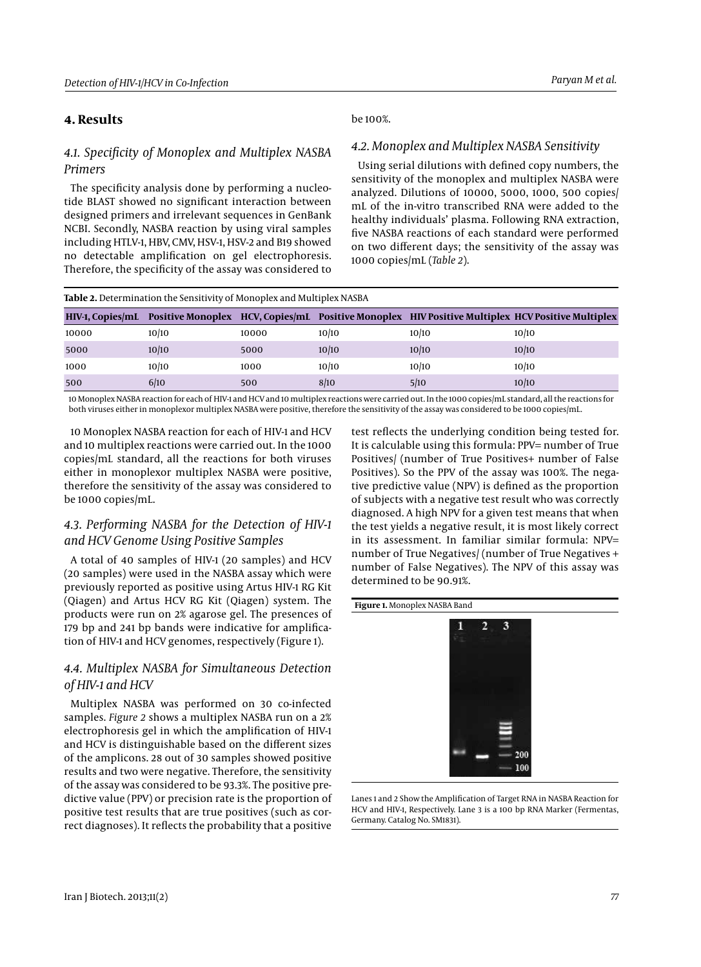# **4. Results**

# *4.1. Specificity of Monoplex and Multiplex NASBA Primers*

The specificity analysis done by performing a nucleotide BLAST showed no significant interaction between designed primers and irrelevant sequences in GenBank NCBI. Secondly, NASBA reaction by using viral samples including HTLV-1, HBV, CMV, HSV-1, HSV-2 and B19 showed no detectable amplification on gel electrophoresis. Therefore, the specificity of the assay was considered to

#### be 100%.

# *4.2. Monoplex and Multiplex NASBA Sensitivity*

Using serial dilutions with defined copy numbers, the sensitivity of the monoplex and multiplex NASBA were analyzed. Dilutions of 10000, 5000, 1000, 500 copies/ mL of the in-vitro transcribed RNA were added to the healthy individuals' plasma. Following RNA extraction, five NASBA reactions of each standard were performed on two different days; the sensitivity of the assay was 1000 copies/mL (*Table 2*).

| <b>Table 2.</b> Determination the Sensitivity of Monoplex and Multiplex NASBA |       |       |       |       |                                                                                                                   |  |  |
|-------------------------------------------------------------------------------|-------|-------|-------|-------|-------------------------------------------------------------------------------------------------------------------|--|--|
|                                                                               |       |       |       |       | HIV-1, Copies/mL Positive Monoplex HCV, Copies/mL Positive Monoplex HIV Positive Multiplex HCV Positive Multiplex |  |  |
| 10000                                                                         | 10/10 | 10000 | 10/10 | 10/10 | 10/10                                                                                                             |  |  |
| 5000                                                                          | 10/10 | 5000  | 10/10 | 10/10 | 10/10                                                                                                             |  |  |
| 1000                                                                          | 10/10 | 1000  | 10/10 | 10/10 | 10/10                                                                                                             |  |  |
| 500                                                                           | 6/10  | 500   | 8/10  | 5/10  | 10/10                                                                                                             |  |  |

10 Monoplex NASBA reaction for each of HIV-1 and HCV and 10 multiplex reactions were carried out. In the 1000 copies/mL standard, all the reactions for both viruses either in monoplexor multiplex NASBA were positive, therefore the sensitivity of the assay was considered to be 1000 copies/mL.

10 Monoplex NASBA reaction for each of HIV-1 and HCV and 10 multiplex reactions were carried out. In the 1000 copies/mL standard, all the reactions for both viruses either in monoplexor multiplex NASBA were positive, therefore the sensitivity of the assay was considered to be 1000 copies/mL.

# *4.3. Performing NASBA for the Detection of HIV-1 and HCV Genome Using Positive Samples*

A total of 40 samples of HIV-1 (20 samples) and HCV (20 samples) were used in the NASBA assay which were previously reported as positive using Artus HIV-1 RG Kit (Qiagen) and Artus HCV RG Kit (Qiagen) system. The products were run on 2% agarose gel. The presences of 179 bp and 241 bp bands were indicative for amplification of HIV-1 and HCV genomes, respectively (Figure 1).

# *4.4. Multiplex NASBA for Simultaneous Detection of HIV-1 and HCV*

Multiplex NASBA was performed on 30 co-infected samples. *Figure 2* shows a multiplex NASBA run on a 2% electrophoresis gel in which the amplification of HIV-1 and HCV is distinguishable based on the different sizes of the amplicons. 28 out of 30 samples showed positive results and two were negative. Therefore, the sensitivity of the assay was considered to be 93.3%. The positive predictive value (PPV) or precision rate is the proportion of positive test results that are true positives (such as correct diagnoses). It reflects the probability that a positive

test reflects the underlying condition being tested for. It is calculable using this formula: PPV= number of True Positives/ (number of True Positives+ number of False Positives). So the PPV of the assay was 100%. The negative predictive value (NPV) is defined as the proportion of subjects with a negative test result who was correctly diagnosed. A high NPV for a given test means that when the test yields a negative result, it is most likely correct in its assessment. In familiar similar formula: NPV= number of True Negatives/ (number of True Negatives + number of False Negatives). The NPV of this assay was determined to be 90.91%.

#### **Figure 1.** Monoplex NASBA Band



Lanes 1 and 2 Show the Amplification of Target RNA in NASBA Reaction for HCV and HIV-1, Respectively. Lane 3 is a 100 bp RNA Marker (Fermentas, Germany. Catalog No. SM1831).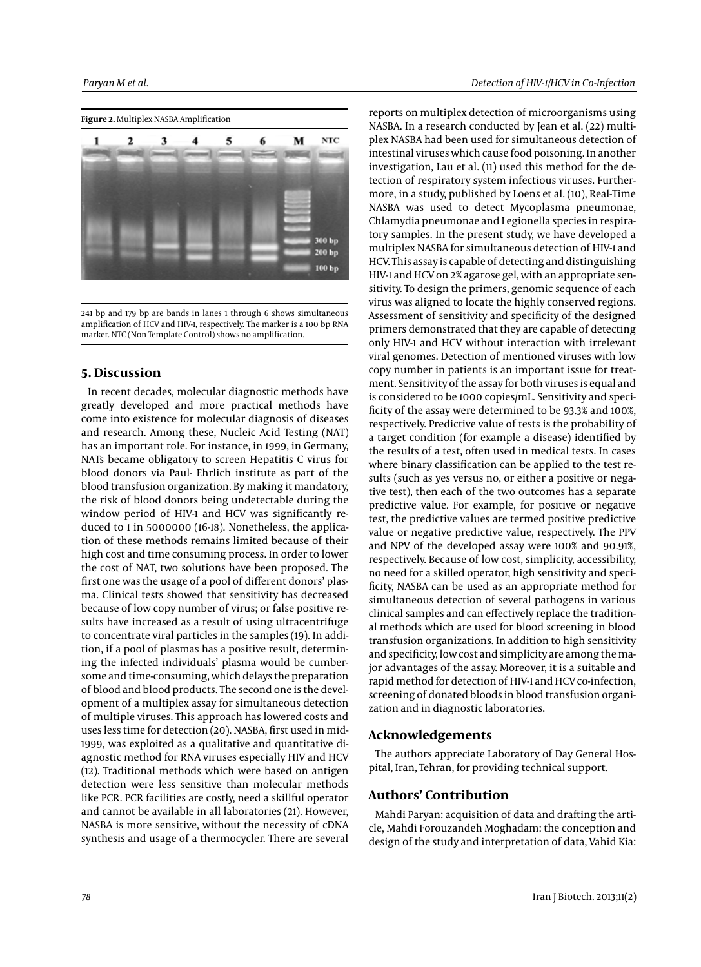

241 bp and 179 bp are bands in lanes 1 through 6 shows simultaneous amplification of HCV and HIV-1, respectively. The marker is a 100 bp RNA marker. NTC (Non Template Control) shows no amplification.

#### **5. Discussion**

In recent decades, molecular diagnostic methods have greatly developed and more practical methods have come into existence for molecular diagnosis of diseases and research. Among these, Nucleic Acid Testing (NAT) has an important role. For instance, in 1999, in Germany, NATs became obligatory to screen Hepatitis C virus for blood donors via Paul- Ehrlich institute as part of the blood transfusion organization. By making it mandatory, the risk of blood donors being undetectable during the window period of HIV-1 and HCV was significantly reduced to 1 in 5000000 (16-18). Nonetheless, the application of these methods remains limited because of their high cost and time consuming process. In order to lower the cost of NAT, two solutions have been proposed. The first one was the usage of a pool of different donors' plasma. Clinical tests showed that sensitivity has decreased because of low copy number of virus; or false positive results have increased as a result of using ultracentrifuge to concentrate viral particles in the samples (19). In addition, if a pool of plasmas has a positive result, determining the infected individuals' plasma would be cumbersome and time-consuming, which delays the preparation of blood and blood products. The second one is the development of a multiplex assay for simultaneous detection of multiple viruses. This approach has lowered costs and uses less time for detection (20). NASBA, first used in mid-1999, was exploited as a qualitative and quantitative diagnostic method for RNA viruses especially HIV and HCV (12). Traditional methods which were based on antigen detection were less sensitive than molecular methods like PCR. PCR facilities are costly, need a skillful operator and cannot be available in all laboratories (21). However, NASBA is more sensitive, without the necessity of cDNA synthesis and usage of a thermocycler. There are several

reports on multiplex detection of microorganisms using NASBA. In a research conducted by Jean et al. (22) multiplex NASBA had been used for simultaneous detection of intestinal viruses which cause food poisoning. In another investigation, Lau et al. (11) used this method for the detection of respiratory system infectious viruses. Furthermore, in a study, published by Loens et al. (10), Real-Time NASBA was used to detect Mycoplasma pneumonae, Chlamydia pneumonae and Legionella species in respiratory samples. In the present study, we have developed a multiplex NASBA for simultaneous detection of HIV-1 and HCV. This assay is capable of detecting and distinguishing HIV-1 and HCV on 2% agarose gel, with an appropriate sensitivity. To design the primers, genomic sequence of each virus was aligned to locate the highly conserved regions. Assessment of sensitivity and specificity of the designed primers demonstrated that they are capable of detecting only HIV-1 and HCV without interaction with irrelevant viral genomes. Detection of mentioned viruses with low copy number in patients is an important issue for treatment. Sensitivity of the assay for both viruses is equal and is considered to be 1000 copies/mL. Sensitivity and specificity of the assay were determined to be 93.3% and 100%, respectively. Predictive value of tests is the probability of a target condition (for example a disease) identified by the results of a test, often used in medical tests. In cases where binary classification can be applied to the test results (such as yes versus no, or either a positive or negative test), then each of the two outcomes has a separate predictive value. For example, for positive or negative test, the predictive values are termed positive predictive value or negative predictive value, respectively. The PPV and NPV of the developed assay were 100% and 90.91%, respectively. Because of low cost, simplicity, accessibility, no need for a skilled operator, high sensitivity and specificity, NASBA can be used as an appropriate method for simultaneous detection of several pathogens in various clinical samples and can effectively replace the traditional methods which are used for blood screening in blood transfusion organizations. In addition to high sensitivity and specificity, low cost and simplicity are among the major advantages of the assay. Moreover, it is a suitable and rapid method for detection of HIV-1 and HCV co-infection, screening of donated bloods in blood transfusion organization and in diagnostic laboratories.

#### **Acknowledgements**

The authors appreciate Laboratory of Day General Hospital, Iran, Tehran, for providing technical support.

### **Authors' Contribution**

Mahdi Paryan: acquisition of data and drafting the article, Mahdi Forouzandeh Moghadam: the conception and design of the study and interpretation of data, Vahid Kia: